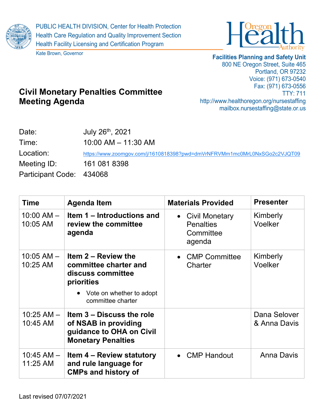

Kate Brown, Governor



## **Facilities Planning and Safety Unit**

800 NE Oregon Street, Suite 465 Portland, OR 97232 Voice: (971) 673-0540 Fax: (971) 673-0556 TTY: 711 http://www.healthoregon.org/nursestaffing mailbox.nursestaffing@state.or.us

## **Civil Monetary Penalties Committee Meeting Agenda**

| Date:                    | July 26th, 2021                                                           |
|--------------------------|---------------------------------------------------------------------------|
| Time:                    | $10:00$ AM $- 11:30$ AM                                                   |
| Location:                | https://www.zoomgov.com/j/1610818398?pwd=dmVrNFRVMm1mc0MrL0NxSGo2c2VJQT09 |
| Meeting ID:              | 161 081 8398                                                              |
| Participant Code: 434068 |                                                                           |

| Time                       | <b>Agenda Item</b>                                                                                                                 | <b>Materials Provided</b>                                   | <b>Presenter</b>             |
|----------------------------|------------------------------------------------------------------------------------------------------------------------------------|-------------------------------------------------------------|------------------------------|
| $10:00$ AM $-$<br>10:05 AM | Item 1 – Introductions and<br>review the committee<br>agenda                                                                       | • Civil Monetary<br><b>Penalties</b><br>Committee<br>agenda | Kimberly<br>Voelker          |
| $10:05$ AM $-$<br>10:25 AM | Item 2 – Review the<br>committee charter and<br>discuss committee<br>priorities<br>• Vote on whether to adopt<br>committee charter | • CMP Committee<br>Charter                                  | Kimberly<br>Voelker          |
| $10:25$ AM $-$<br>10:45 AM | Item 3 – Discuss the role<br>of NSAB in providing<br>guidance to OHA on Civil<br><b>Monetary Penalties</b>                         |                                                             | Dana Selover<br>& Anna Davis |
| $10:45$ AM $-$<br>11:25 AM | <b>Item 4 – Review statutory</b><br>and rule language for<br><b>CMPs and history of</b>                                            | • CMP Handout                                               | <b>Anna Davis</b>            |